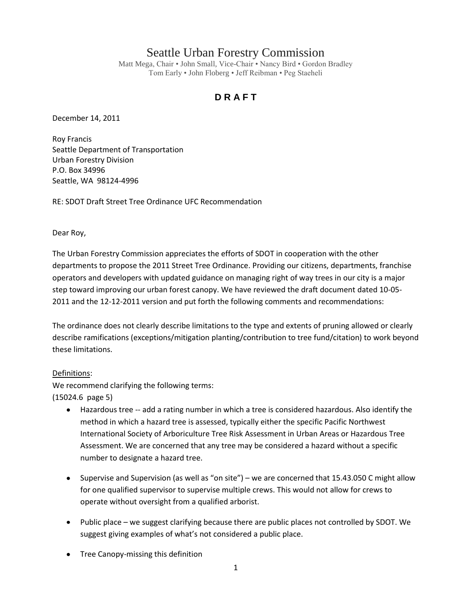# Seattle Urban Forestry Commission

Matt Mega, Chair • John Small, Vice-Chair • Nancy Bird • Gordon Bradley Tom Early • John Floberg • Jeff Reibman • Peg Staeheli

# **D R A F T**

December 14, 2011

Roy Francis Seattle Department of Transportation Urban Forestry Division P.O. Box 34996 Seattle, WA 98124-4996

RE: SDOT Draft Street Tree Ordinance UFC Recommendation

Dear Roy,

The Urban Forestry Commission appreciates the efforts of SDOT in cooperation with the other departments to propose the 2011 Street Tree Ordinance. Providing our citizens, departments, franchise operators and developers with updated guidance on managing right of way trees in our city is a major step toward improving our urban forest canopy. We have reviewed the draft document dated 10-05- 2011 and the 12-12-2011 version and put forth the following comments and recommendations:

The ordinance does not clearly describe limitations to the type and extents of pruning allowed or clearly describe ramifications (exceptions/mitigation planting/contribution to tree fund/citation) to work beyond these limitations.

# Definitions:

We recommend clarifying the following terms: (15024.6 page 5)

- $\bullet$ Hazardous tree -- add a rating number in which a tree is considered hazardous. Also identify the method in which a hazard tree is assessed, typically either the specific Pacific Northwest International Society of Arboriculture Tree Risk Assessment in Urban Areas or Hazardous Tree Assessment. We are concerned that any tree may be considered a hazard without a specific number to designate a hazard tree.
- Supervise and Supervision (as well as "on site") we are concerned that 15.43.050 C might allow  $\bullet$ for one qualified supervisor to supervise multiple crews. This would not allow for crews to operate without oversight from a qualified arborist.
- Public place we suggest clarifying because there are public places not controlled by SDOT. We suggest giving examples of what's not considered a public place.
- Tree Canopy-missing this definition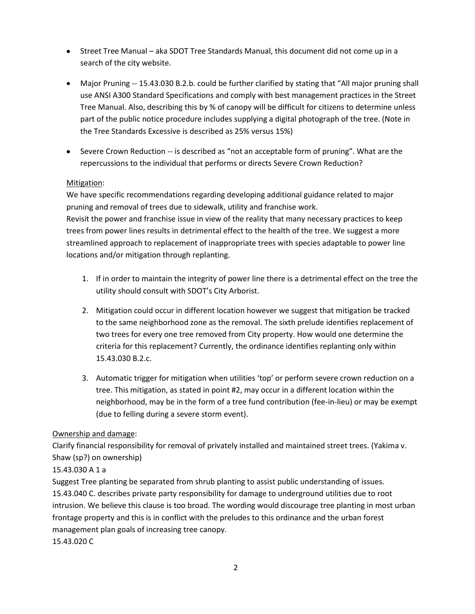- Street Tree Manual aka SDOT Tree Standards Manual, this document did not come up in a search of the city website.
- Major Pruning -- 15.43.030 B.2.b. could be further clarified by stating that "All major pruning shall  $\bullet$ use ANSI A300 Standard Specifications and comply with best management practices in the Street Tree Manual. Also, describing this by % of canopy will be difficult for citizens to determine unless part of the public notice procedure includes supplying a digital photograph of the tree. (Note in the Tree Standards Excessive is described as 25% versus 15%)
- Severe Crown Reduction -- is described as "not an acceptable form of pruning". What are the  $\bullet$ repercussions to the individual that performs or directs Severe Crown Reduction?

#### Mitigation:

We have specific recommendations regarding developing additional guidance related to major pruning and removal of trees due to sidewalk, utility and franchise work. Revisit the power and franchise issue in view of the reality that many necessary practices to keep trees from power lines results in detrimental effect to the health of the tree. We suggest a more streamlined approach to replacement of inappropriate trees with species adaptable to power line locations and/or mitigation through replanting.

- 1. If in order to maintain the integrity of power line there is a detrimental effect on the tree the utility should consult with SDOT's City Arborist.
- 2. Mitigation could occur in different location however we suggest that mitigation be tracked to the same neighborhood zone as the removal. The sixth prelude identifies replacement of two trees for every one tree removed from City property. How would one determine the criteria for this replacement? Currently, the ordinance identifies replanting only within 15.43.030 B.2.c.
- 3. Automatic trigger for mitigation when utilities 'top' or perform severe crown reduction on a tree. This mitigation, as stated in point #2, may occur in a different location within the neighborhood, may be in the form of a tree fund contribution (fee-in-lieu) or may be exempt (due to felling during a severe storm event).

# Ownership and damage:

Clarify financial responsibility for removal of privately installed and maintained street trees. (Yakima v. Shaw (sp?) on ownership)

# 15.43.030 A 1 a

Suggest Tree planting be separated from shrub planting to assist public understanding of issues. 15.43.040 C. describes private party responsibility for damage to underground utilities due to root intrusion. We believe this clause is too broad. The wording would discourage tree planting in most urban frontage property and this is in conflict with the preludes to this ordinance and the urban forest management plan goals of increasing tree canopy.

15.43.020 C